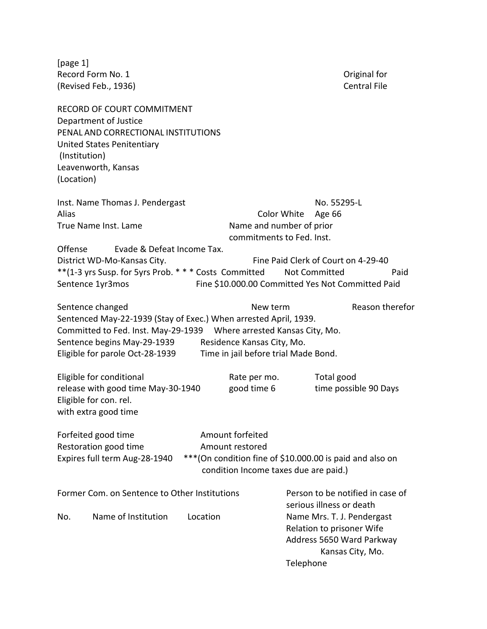[page 1] Record Form No. 1 **Definition Control** Control Control Central File<br>
Revised Feb., 1936) **Central File** (Revised Feb., 1936)

|              | <b>RECORD OF COURT COMMITMENT</b><br>Department of Justice           |  |                                                                                                    |                      |                                                         |                                     |  |  |
|--------------|----------------------------------------------------------------------|--|----------------------------------------------------------------------------------------------------|----------------------|---------------------------------------------------------|-------------------------------------|--|--|
|              | PENAL AND CORRECTIONAL INSTITUTIONS                                  |  |                                                                                                    |                      |                                                         |                                     |  |  |
|              | United States Penitentiary                                           |  |                                                                                                    |                      |                                                         |                                     |  |  |
|              | (Institution)                                                        |  |                                                                                                    |                      |                                                         |                                     |  |  |
|              | Leavenworth, Kansas                                                  |  |                                                                                                    |                      |                                                         |                                     |  |  |
| (Location)   |                                                                      |  |                                                                                                    |                      |                                                         |                                     |  |  |
|              | Inst. Name Thomas J. Pendergast                                      |  |                                                                                                    |                      | No. 55295-L                                             |                                     |  |  |
| <b>Alias</b> |                                                                      |  | Color White<br>Age 66                                                                              |                      |                                                         |                                     |  |  |
|              | True Name Inst. Lame                                                 |  | Name and number of prior<br>commitments to Fed. Inst.                                              |                      |                                                         |                                     |  |  |
| Offense      | Evade & Defeat Income Tax.                                           |  |                                                                                                    |                      |                                                         |                                     |  |  |
|              | District WD-Mo-Kansas City.                                          |  |                                                                                                    |                      |                                                         | Fine Paid Clerk of Court on 4-29-40 |  |  |
|              | ** (1-3 yrs Susp. for 5yrs Prob. * * * Costs Committed               |  |                                                                                                    | <b>Not Committed</b> |                                                         | Paid                                |  |  |
|              | Sentence 1yr3mos                                                     |  | Fine \$10.000.00 Committed Yes Not Committed Paid                                                  |                      |                                                         |                                     |  |  |
|              | Sentence changed                                                     |  | New term                                                                                           |                      |                                                         | Reason therefor                     |  |  |
|              | Sentenced May-22-1939 (Stay of Exec.) When arrested April, 1939.     |  |                                                                                                    |                      |                                                         |                                     |  |  |
|              | Committed to Fed. Inst. May-29-1939  Where arrested Kansas City, Mo. |  |                                                                                                    |                      |                                                         |                                     |  |  |
|              | Sentence begins May-29-1939                                          |  | Residence Kansas City, Mo.                                                                         |                      |                                                         |                                     |  |  |
|              | Eligible for parole Oct-28-1939                                      |  | Time in jail before trial Made Bond.                                                               |                      |                                                         |                                     |  |  |
|              | Eligible for conditional                                             |  | Rate per mo.                                                                                       |                      | Total good                                              |                                     |  |  |
|              | release with good time May-30-1940                                   |  | good time 6                                                                                        |                      |                                                         | time possible 90 Days               |  |  |
|              | Eligible for con. rel.                                               |  |                                                                                                    |                      |                                                         |                                     |  |  |
|              | with extra good time                                                 |  |                                                                                                    |                      |                                                         |                                     |  |  |
|              | Forfeited good time                                                  |  | Amount forfeited                                                                                   |                      |                                                         |                                     |  |  |
|              | Restoration good time                                                |  | Amount restored                                                                                    |                      |                                                         |                                     |  |  |
|              | Expires full term Aug-28-1940                                        |  | *** (On condition fine of \$10.000.00 is paid and also on<br>condition Income taxes due are paid.) |                      |                                                         |                                     |  |  |
|              | Former Com. on Sentence to Other Institutions                        |  |                                                                                                    |                      |                                                         | Person to be notified in case of    |  |  |
|              |                                                                      |  |                                                                                                    |                      | serious illness or death                                |                                     |  |  |
| No.          | Name of Institution<br>Location                                      |  |                                                                                                    |                      | Name Mrs. T. J. Pendergast<br>Relation to prisoner Wife |                                     |  |  |
|              |                                                                      |  |                                                                                                    |                      |                                                         |                                     |  |  |
|              |                                                                      |  |                                                                                                    |                      |                                                         | Address 5650 Ward Parkway           |  |  |
|              |                                                                      |  |                                                                                                    |                      |                                                         | Kansas City, Mo.                    |  |  |
|              |                                                                      |  |                                                                                                    | Telephone            |                                                         |                                     |  |  |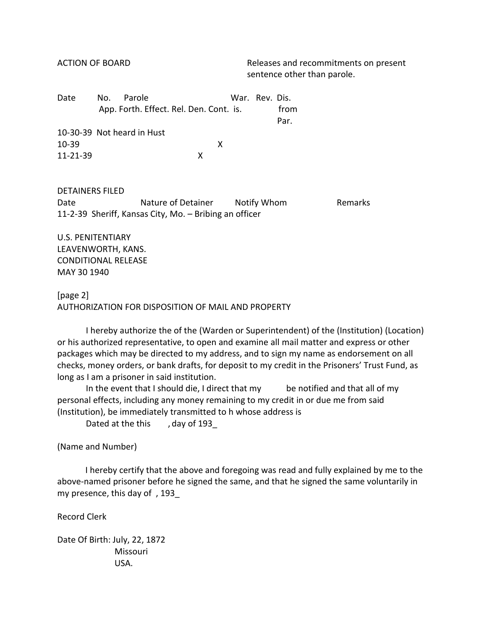ACTION OF BOARD Releases and recommitments on present sentence other than parole.

| Date      | No. | Parole                                  |   | War. Rev. Dis. |      |
|-----------|-----|-----------------------------------------|---|----------------|------|
|           |     | App. Forth. Effect. Rel. Den. Cont. is. |   |                | from |
|           |     |                                         |   |                | Par. |
|           |     | 10-30-39 Not heard in Hust              |   |                |      |
| $10 - 39$ |     |                                         | x |                |      |
| 11-21-39  |     |                                         | X |                |      |
|           |     |                                         |   |                |      |

DETAINERS FILED Date **Nature of Detainer** Notify Whom **Remarks** 11-2-39 Sheriff, Kansas City, Mo. – Bribing an officer

U.S. PENITENTIARY LEAVENWORTH, KANS. CONDITIONAL RELEASE MAY 30 1940

## [page 2] AUTHORIZATION FOR DISPOSITION OF MAIL AND PROPERTY

I hereby authorize the of the (Warden or Superintendent) of the (Institution) (Location) or his authorized representative, to open and examine all mail matter and express or other packages which may be directed to my address, and to sign my name as endorsement on all checks, money orders, or bank drafts, for deposit to my credit in the Prisoners' Trust Fund, as long as I am a prisoner in said institution.

In the event that I should die, I direct that my be notified and that all of my personal effects, including any money remaining to my credit in or due me from said (Institution), be immediately transmitted to h whose address is

Dated at the this , day of 193

(Name and Number)

 I hereby certify that the above and foregoing was read and fully explained by me to the above-named prisoner before he signed the same, and that he signed the same voluntarily in my presence, this day of , 193\_

Record Clerk

Date Of Birth: July, 22, 1872 Missouri USA.